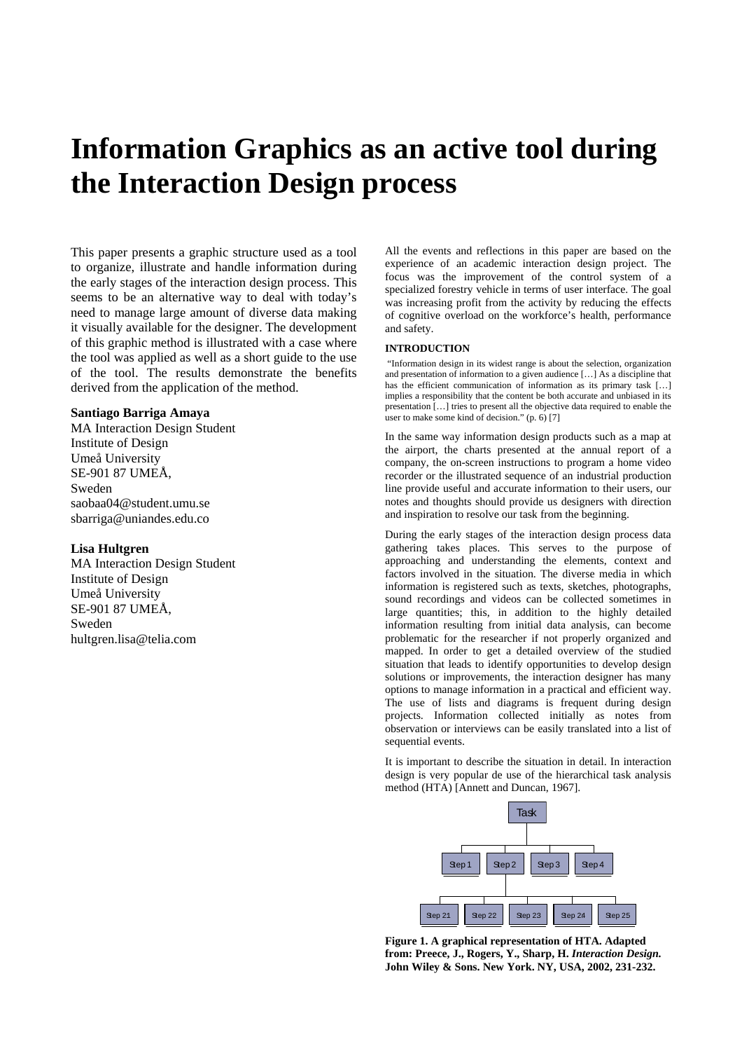# **Information Graphics as an active tool during the Interaction Design process**

This paper presents a graphic structure used as a tool to organize, illustrate and handle information during the early stages of the interaction design process. This seems to be an alternative way to deal with today's need to manage large amount of diverse data making it visually available for the designer. The development of this graphic method is illustrated with a case where the tool was applied as well as a short guide to the use of the tool. The results demonstrate the benefits derived from the application of the method.

## **Santiago Barriga Amaya**

MA Interaction Design Student Institute of Design Umeå University SE-901 87 UMEÅ, Sweden [saobaa04@student.umu.se](mailto:saobaa04@student.umu.se) [sbarriga@uniandes.edu.co](mailto:sbarriga@uniandes.edu.co) 

# **Lisa Hultgren**

MA Interaction Design Student Institute of Design Umeå University SE-901 87 UMEÅ, Sweden [hultgren.lisa@telia.com](mailto:hultgren.lisa@telia.com)

All the events and reflections in this paper are based on the experience of an academic interaction design project. The focus was the improvement of the control system of a specialized forestry vehicle in terms of user interface. The goal was increasing profit from the activity by reducing the effects of cognitive overload on the workforce's health, performance and safety.

# **INTRODUCTION**

"Information design in its widest range is about the selection, organization and presentation of information to a given audience […] As a discipline that has the efficient communication of information as its primary task [...] implies a responsibility that the content be both accurate and unbiased in its presentation […] tries to present all the objective data required to enable the user to make some kind of decision."  $(p, 6)$  [7]

In the same way information design products such as a map at the airport, the charts presented at the annual report of a company, the on-screen instructions to program a home video recorder or the illustrated sequence of an industrial production line provide useful and accurate information to their users, our notes and thoughts should provide us designers with direction and inspiration to resolve our task from the beginning.

During the early stages of the interaction design process data gathering takes places. This serves to the purpose of approaching and understanding the elements, context and factors involved in the situation. The diverse media in which information is registered such as texts, sketches, photographs, sound recordings and videos can be collected sometimes in large quantities; this, in addition to the highly detailed information resulting from initial data analysis, can become problematic for the researcher if not properly organized and mapped. In order to get a detailed overview of the studied situation that leads to identify opportunities to develop design solutions or improvements, the interaction designer has many options to manage information in a practical and efficient way. The use of lists and diagrams is frequent during design projects. Information collected initially as notes from observation or interviews can be easily translated into a list of sequential events.

It is important to describe the situation in detail. In interaction design is very popular de use of the hierarchical task analysis method (HTA) [Annett and Duncan, 1967].



**Figure 1. A graphical representation of HTA. Adapted from: Preece, J., Rogers, Y., Sharp, H.** *Interaction Design.* **John Wiley & Sons. New York. NY, USA, 2002, 231-232.**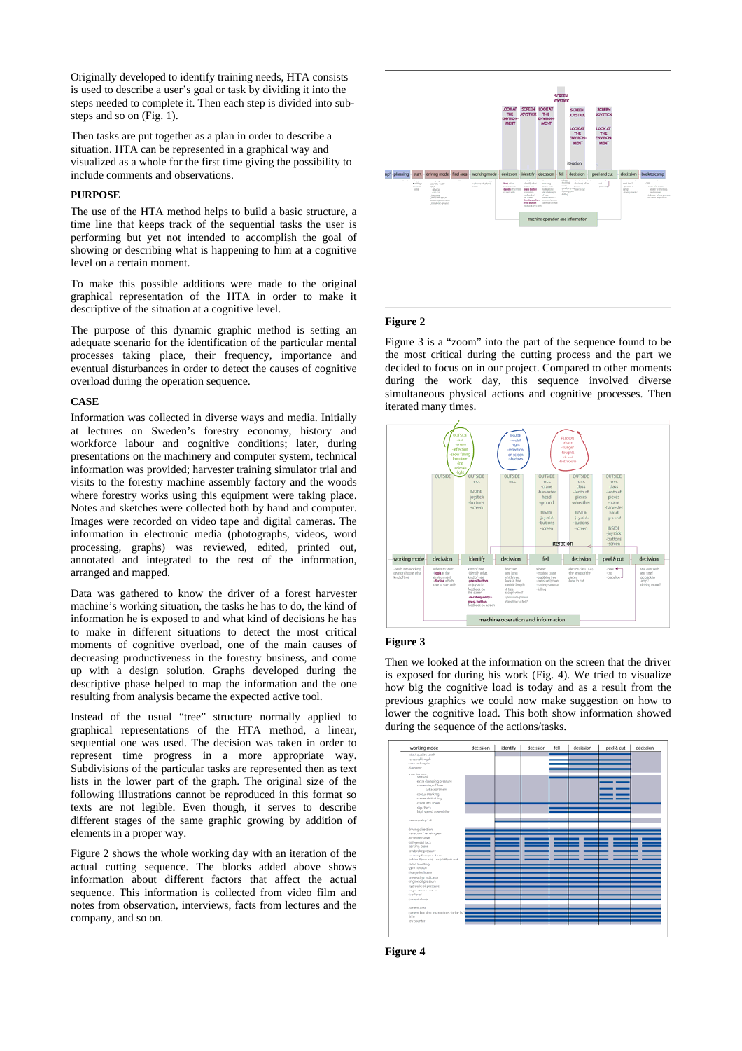Originally developed to identify training needs, HTA consists is used to describe a user's goal or task by dividing it into the steps needed to complete it. Then each step is divided into substeps and so on (Fig. 1).

Then tasks are put together as a plan in order to describe a situation. HTA can be represented in a graphical way and visualized as a whole for the first time giving the possibility to include comments and observations.

#### **PURPOSE**

The use of the HTA method helps to build a basic structure, a time line that keeps track of the sequential tasks the user is performing but yet not intended to accomplish the goal of showing or describing what is happening to him at a cognitive level on a certain moment.

To make this possible additions were made to the original graphical representation of the HTA in order to make it descriptive of the situation at a cognitive level.

The purpose of this dynamic graphic method is setting an adequate scenario for the identification of the particular mental processes taking place, their frequency, importance and eventual disturbances in order to detect the causes of cognitive overload during the operation sequence.

#### **CASE**

Information was collected in diverse ways and media. Initially at lectures on Sweden's forestry economy, history and workforce labour and cognitive conditions; later, during presentations on the machinery and computer system, technical information was provided; harvester training simulator trial and visits to the forestry machine assembly factory and the woods where forestry works using this equipment were taking place. Notes and sketches were collected both by hand and computer. Images were recorded on video tape and digital cameras. The information in electronic media (photographs, videos, word processing, graphs) was reviewed, edited, printed out, annotated and integrated to the rest of the information, arranged and mapped.

Data was gathered to know the driver of a forest harvester machine's working situation, the tasks he has to do, the kind of information he is exposed to and what kind of decisions he has to make in different situations to detect the most critical moments of cognitive overload, one of the main causes of decreasing productiveness in the forestry business, and come up with a design solution. Graphs developed during the descriptive phase helped to map the information and the one resulting from analysis became the expected active tool.

Instead of the usual "tree" structure normally applied to graphical representations of the HTA method, a linear, sequential one was used. The decision was taken in order to represent time progress in a more appropriate way. Subdivisions of the particular tasks are represented then as text lists in the lower part of the graph. The original size of the following illustrations cannot be reproduced in this format so texts are not legible. Even though, it serves to describe different stages of the same graphic growing by addition of elements in a proper way.

Figure 2 shows the whole working day with an iteration of the actual cutting sequence. The blocks added above shows information about different factors that affect the actual sequence. This information is collected from video film and notes from observation, interviews, facts from lectures and the company, and so on.



# **Figure 2**

Figure 3 is a "zoom" into the part of the sequence found to be the most critical during the cutting process and the part we decided to focus on in our project. Compared to other moments during the work day, this sequence involved diverse simultaneous physical actions and cognitive processes. Then iterated many times.



#### **Figure 3**

Then we looked at the information on the screen that the driver is exposed for during his work (Fig. 4). We tried to visualize how big the cognitive load is today and as a result from the previous graphics we could now make suggestion on how to lower the cognitive load. This both show information showed during the sequence of the actions/tasks.



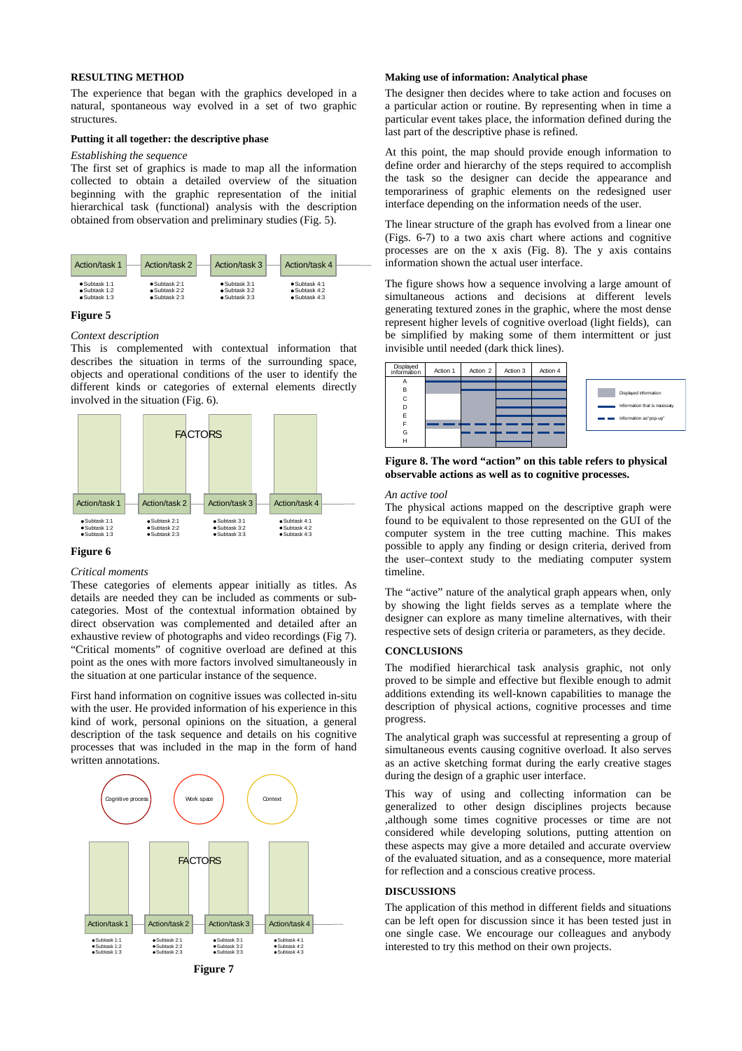# **RESULTING METHOD**

The experience that began with the graphics developed in a natural, spontaneous way evolved in a set of two graphic structures.

#### **Putting it all together: the descriptive phase**

# *Establishing the sequence*

The first set of graphics is made to map all the information collected to obtain a detailed overview of the situation beginning with the graphic representation of the initial hierarchical task (functional) analysis with the description obtained from observation and preliminary studies (Fig. 5).



## **Figure 5**

#### *Context description*

This is complemented with contextual information that describes the situation in terms of the surrounding space, objects and operational conditions of the user to identify the different kinds or categories of external elements directly involved in the situation (Fig. 6).



# **Figure 6**

## *Critical moments*

These categories of elements appear initially as titles. As details are needed they can be included as comments or subcategories. Most of the contextual information obtained by direct observation was complemented and detailed after an exhaustive review of photographs and video recordings (Fig 7). "Critical moments" of cognitive overload are defined at this point as the ones with more factors involved simultaneously in the situation at one particular instance of the sequence.

First hand information on cognitive issues was collected in-situ with the user. He provided information of his experience in this kind of work, personal opinions on the situation, a general description of the task sequence and details on his cognitive processes that was included in the map in the form of hand written annotations.





# **Making use of information: Analytical phase**

The designer then decides where to take action and focuses on a particular action or routine. By representing when in time a particular event takes place, the information defined during the last part of the descriptive phase is refined.

At this point, the map should provide enough information to define order and hierarchy of the steps required to accomplish the task so the designer can decide the appearance and temporariness of graphic elements on the redesigned user interface depending on the information needs of the user.

The linear structure of the graph has evolved from a linear one (Figs. 6-7) to a two axis chart where actions and cognitive processes are on the x axis (Fig. 8). The y axis contains information shown the actual user interface.

The figure shows how a sequence involving a large amount of simultaneous actions and decisions at different levels generating textured zones in the graphic, where the most dense represent higher levels of cognitive overload (light fields), can be simplified by making some of them intermittent or just invisible until needed (dark thick lines).



# **Figure 8. The word "action" on this table refers to physical observable actions as well as to cognitive processes.**

#### *An active tool*

The physical actions mapped on the descriptive graph were found to be equivalent to those represented on the GUI of the computer system in the tree cutting machine. This makes possible to apply any finding or design criteria, derived from the user–context study to the mediating computer system timeline.

The "active" nature of the analytical graph appears when, only by showing the light fields serves as a template where the designer can explore as many timeline alternatives, with their respective sets of design criteria or parameters, as they decide.

# **CONCLUSIONS**

The modified hierarchical task analysis graphic, not only proved to be simple and effective but flexible enough to admit additions extending its well-known capabilities to manage the description of physical actions, cognitive processes and time progress.

The analytical graph was successful at representing a group of simultaneous events causing cognitive overload. It also serves as an active sketching format during the early creative stages during the design of a graphic user interface.

This way of using and collecting information can be generalized to other design disciplines projects because ,although some times cognitive processes or time are not considered while developing solutions, putting attention on these aspects may give a more detailed and accurate overview of the evaluated situation, and as a consequence, more material for reflection and a conscious creative process.

#### **DISCUSSIONS**

The application of this method in different fields and situations can be left open for discussion since it has been tested just in one single case. We encourage our colleagues and anybody interested to try this method on their own projects.